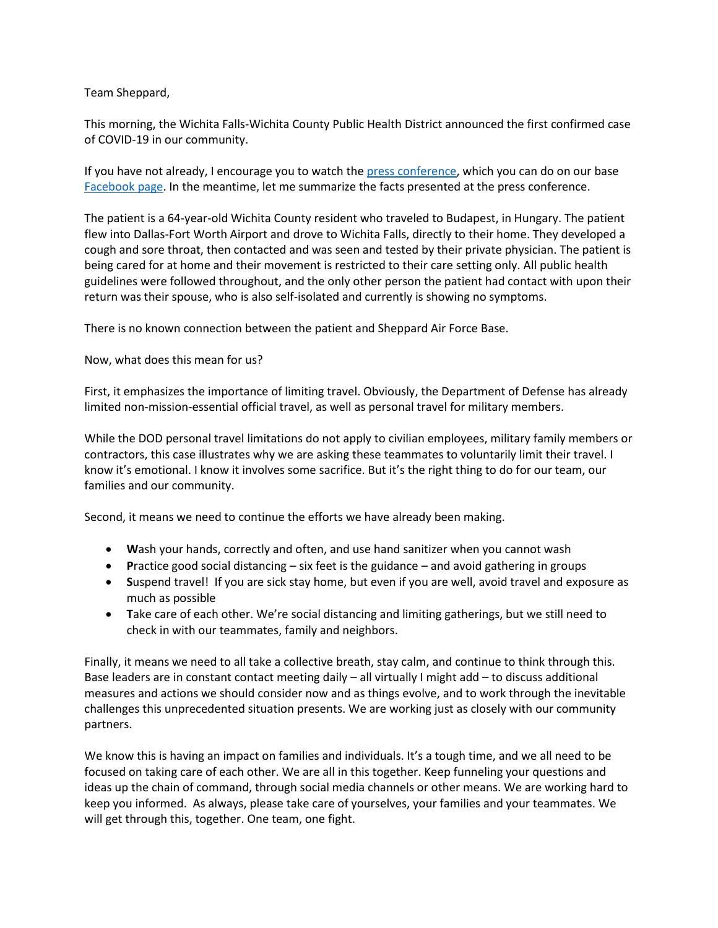Team Sheppard,

This morning, the Wichita Falls-Wichita County Public Health District announced the first confirmed case of COVID-19 in our community.

If you have not already, I encourage you to watch the [press conference,](https://www.facebook.com/CityofWF/videos/542728059680259/?__tn__=%2Cd%2CP-R&eid=ARDUwy0CioqQ4wlPnagAK7ZPpI3YDxHBd5Hi9GJOZ0OAU0qeqogt1fZmTkA0x2OEZeAG6ONY8T3b4udS) which you can do on our base [Facebook page.](https://www.facebook.com/SheppardAirForceBase/) In the meantime, let me summarize the facts presented at the press conference.

The patient is a 64-year-old Wichita County resident who traveled to Budapest, in Hungary. The patient flew into Dallas-Fort Worth Airport and drove to Wichita Falls, directly to their home. They developed a cough and sore throat, then contacted and was seen and tested by their private physician. The patient is being cared for at home and their movement is restricted to their care setting only. All public health guidelines were followed throughout, and the only other person the patient had contact with upon their return was their spouse, who is also self-isolated and currently is showing no symptoms.

There is no known connection between the patient and Sheppard Air Force Base.

Now, what does this mean for us?

First, it emphasizes the importance of limiting travel. Obviously, the Department of Defense has already limited non-mission-essential official travel, as well as personal travel for military members.

While the DOD personal travel limitations do not apply to civilian employees, military family members or contractors, this case illustrates why we are asking these teammates to voluntarily limit their travel. I know it's emotional. I know it involves some sacrifice. But it's the right thing to do for our team, our families and our community.

Second, it means we need to continue the efforts we have already been making.

- **W**ash your hands, correctly and often, and use hand sanitizer when you cannot wash
- **P**ractice good social distancing six feet is the guidance and avoid gathering in groups
- **S**uspend travel! If you are sick stay home, but even if you are well, avoid travel and exposure as much as possible
- **T**ake care of each other. We're social distancing and limiting gatherings, but we still need to check in with our teammates, family and neighbors.

Finally, it means we need to all take a collective breath, stay calm, and continue to think through this. Base leaders are in constant contact meeting daily – all virtually I might add – to discuss additional measures and actions we should consider now and as things evolve, and to work through the inevitable challenges this unprecedented situation presents. We are working just as closely with our community partners.

We know this is having an impact on families and individuals. It's a tough time, and we all need to be focused on taking care of each other. We are all in this together. Keep funneling your questions and ideas up the chain of command, through social media channels or other means. We are working hard to keep you informed. As always, please take care of yourselves, your families and your teammates. We will get through this, together. One team, one fight.